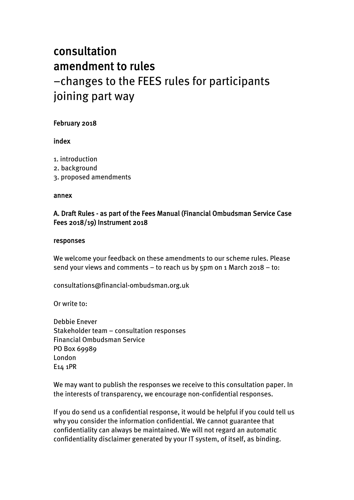# consultation amendment to rules –changes to the FEES rules for participants joining part way

# February 2018

### index

- 1. introduction
- 2. background
- 3. proposed amendments

#### annex

# A. Draft Rules - as part of the Fees Manual (Financial Ombudsman Service Case Fees 2018/19) Instrument 2018

#### responses

We welcome your feedback on these amendments to our scheme rules. Please send your views and comments – to reach us by 5pm on 1 March 2018 – to:

consultations@financial-ombudsman.org.uk

Or write to:

Debbie Enever Stakeholder team – consultation responses Financial Ombudsman Service PO Box 69989 London E14 1PR

We may want to publish the responses we receive to this consultation paper. In the interests of transparency, we encourage non-confidential responses.

If you do send us a confidential response, it would be helpful if you could tell us why you consider the information confidential. We cannot guarantee that confidentiality can always be maintained. We will not regard an automatic confidentiality disclaimer generated by your IT system, of itself, as binding.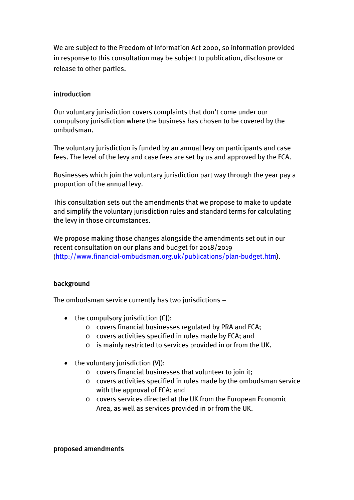We are subject to the Freedom of Information Act 2000, so information provided in response to this consultation may be subject to publication, disclosure or release to other parties.

#### introduction

Our voluntary jurisdiction covers complaints that don't come under our compulsory jurisdiction where the business has chosen to be covered by the ombudsman.

The voluntary jurisdiction is funded by an annual levy on participants and case fees. The level of the levy and case fees are set by us and approved by the FCA.

Businesses which join the voluntary jurisdiction part way through the year pay a proportion of the annual levy.

This consultation sets out the amendments that we propose to make to update and simplify the voluntary jurisdiction rules and standard terms for calculating the levy in those circumstances.

We propose making those changes alongside the amendments set out in our recent consultation on our plans and budget for 2018/2019 (http://www.financial-ombudsman.org.uk/publications/plan-budget.htm).

### background

The ombudsman service currently has two jurisdictions –

- $\bullet$  the compulsory jurisdiction (CJ):
	- o covers financial businesses regulated by PRA and FCA;
	- o covers activities specified in rules made by FCA; and
	- o is mainly restricted to services provided in or from the UK.
- $\bullet$  the voluntary jurisdiction (VJ):
	- o covers financial businesses that volunteer to join it;
	- o covers activities specified in rules made by the ombudsman service with the approval of FCA; and
	- o covers services directed at the UK from the European Economic Area, as well as services provided in or from the UK.

#### proposed amendments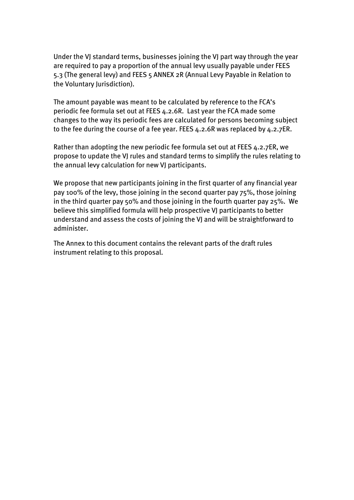Under the VJ standard terms, businesses joining the VJ part way through the year are required to pay a proportion of the annual levy usually payable under FEES 5.3 (The general levy) and FEES 5 ANNEX 2R (Annual Levy Payable in Relation to the Voluntary Jurisdiction).

The amount payable was meant to be calculated by reference to the FCA's periodic fee formula set out at FEES 4.2.6R. Last year the FCA made some changes to the way its periodic fees are calculated for persons becoming subject to the fee during the course of a fee year. FEES 4.2.6R was replaced by 4.2.7ER.

Rather than adopting the new periodic fee formula set out at FEES 4.2.7ER, we propose to update the VJ rules and standard terms to simplify the rules relating to the annual levy calculation for new VJ participants.

We propose that new participants joining in the first quarter of any financial year pay 100% of the levy, those joining in the second quarter pay 75%, those joining in the third quarter pay 50% and those joining in the fourth quarter pay 25%. We believe this simplified formula will help prospective VJ participants to better understand and assess the costs of joining the VJ and will be straightforward to administer.

The Annex to this document contains the relevant parts of the draft rules instrument relating to this proposal.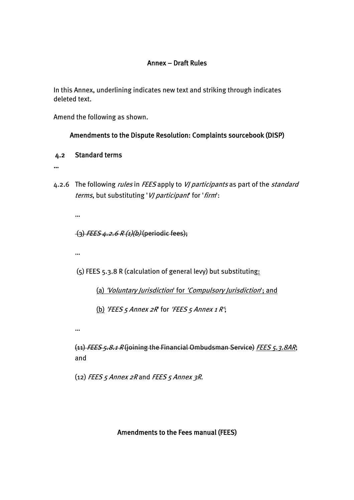#### Annex – Draft Rules

In this Annex, underlining indicates new text and striking through indicates deleted text.

Amend the following as shown.

#### Amendments to the Dispute Resolution: Complaints sourcebook (DISP)

#### 4.2 Standard terms

…

4.2.6 The following *rules* in *FEES* apply to VI participants as part of the *standard* terms, but substituting 'VJ participant for 'firm':

…

(3) FEES 4.2.6 R (1)(b) (periodic fees);

…

(5) FEES 5.3.8 R (calculation of general levy) but substituting:

(a) 'Voluntary Jurisdiction' for 'Compulsory Jurisdiction'; and

(b) 'FEES 5 Annex 2R' for 'FEES 5 Annex 1 R';

…

(11) FEES 5.8.1 R (joining the Financial Ombudsman Service) FEES 5.3.8AR; and

(12) FEES 5 Annex 2R and FEES 5 Annex 3R.

Amendments to the Fees manual (FEES)